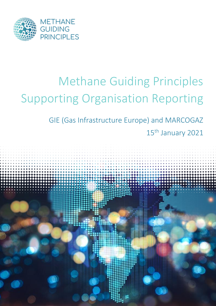

# Methane Guiding Principles Supporting Organisation Reporting

GIE (Gas Infrastructure Europe) and MARCOGAZ 15th January 2021

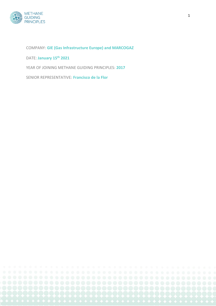

COMPANY: **GIE (Gas Infrastructure Europe) and MARCOGAZ**

DATE: **January 15th 2021**

YEAR OF JOINING METHANE GUIDING PRINCIPLES: **2017**

SENIOR REPRESENTATIVE: **Francisco de la Flor**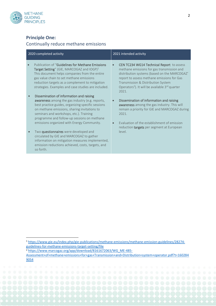

# **Principle One:**

# Continually reduce methane emissions

| 2021 intended activity                                                                                                                                                                                                                                                                                                                                                                                                                                                                                                                                                    |
|---------------------------------------------------------------------------------------------------------------------------------------------------------------------------------------------------------------------------------------------------------------------------------------------------------------------------------------------------------------------------------------------------------------------------------------------------------------------------------------------------------------------------------------------------------------------------|
| Publication of "Guidelines for Methane Emissions<br>CEN TC234 WG14 Technical Report to assess<br>$\bullet$<br>methane emissions for gas transmission and<br>This document helps companies from the entire<br>distribution systems (based on the MARCOGAZ'<br>report to assess methane emissions for Gas<br>reduction targets as a complement to mitigation<br>Transmission & Distribution System<br>strategies. Examples and case studies are included.<br>Operators <sup>2</sup> ). It will be available 3 <sup>rd</sup> quarter<br>2021.                                |
| <b>awareness</b> among the gas industry (e.g. reports,<br>Dissemination of information and raising<br>best practice guides, organizing specific sessions<br>awareness among the gas industry. This will<br>remain a priority for GIE and MARCOGAZ during<br>2021.<br>programme and follow-up sessions on methane<br>emissions organized with Energy Community.<br>Evaluation of the establishment of emission<br>reduction targets per segment at European<br> P <br>information on mitigation measures implemented,<br>emission reductions achieved, costs, targets, and |
|                                                                                                                                                                                                                                                                                                                                                                                                                                                                                                                                                                           |

<sup>2</sup> [https://www.marcogaz.org/app/download/8161672063/WG\\_ME-485-](https://www.marcogaz.org/app/download/8161672063/WG_ME-485-Assessment+of+methane+emissions+for+gas+Transmission+and+Distribution+system+operator.pdf?t=1602849054)

<sup>1</sup> [https://www.gie.eu/index.php/gie-publications/methane-emissions/methane-emission-guidelines/28274](https://www.gie.eu/index.php/gie-publications/methane-emissions/methane-emission-guidelines/28274-guidelines-for-methane-emissions-target-setting/file) [guidelines-for-methane-emissions-target-setting/file](https://www.gie.eu/index.php/gie-publications/methane-emissions/methane-emission-guidelines/28274-guidelines-for-methane-emissions-target-setting/file)

[Assessment+of+methane+emissions+for+gas+Transmission+and+Distribution+system+operator.pdf?t=160284](https://www.marcogaz.org/app/download/8161672063/WG_ME-485-Assessment+of+methane+emissions+for+gas+Transmission+and+Distribution+system+operator.pdf?t=1602849054) [9054](https://www.marcogaz.org/app/download/8161672063/WG_ME-485-Assessment+of+methane+emissions+for+gas+Transmission+and+Distribution+system+operator.pdf?t=1602849054)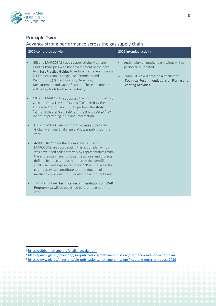

# **Principle Two:**

# Advance strong performance across the gas supply chain

| 2020 completed activity                                                                                                                                                                                                                                                                                                                                                                                                                                                   | 2021 intended activity                                                                                                                                                                        |  |
|---------------------------------------------------------------------------------------------------------------------------------------------------------------------------------------------------------------------------------------------------------------------------------------------------------------------------------------------------------------------------------------------------------------------------------------------------------------------------|-----------------------------------------------------------------------------------------------------------------------------------------------------------------------------------------------|--|
| GIE and MARCOGAZ have supported the Methane<br>Guiding Principles with the development of the new<br>two Best Practice Guides to reduce methane emissions<br>(1) Transmission, Storage, LNG Terminals and<br>Distribution; (2) Identification, Detection,<br>Measurement and Quantification). These documents<br>will be key tools for the gas industry.                                                                                                                  | Action plan on methane emissions will be<br>periodically updated.<br>MARCOGAZ will develop a document:<br>$\bullet$<br>Technical Recommendations on Flaring and<br><b>Venting Activities.</b> |  |
| GIE and MARCOGAZ supported the consortium (Wood,<br>Carbon Limits, The Sniffers and TNO) hired by the<br>European Commission (EC) to perform the study<br>"Limiting methane emissions in the energy sector" by<br>means of providing input and information.                                                                                                                                                                                                               |                                                                                                                                                                                               |  |
| GIE and MARCOGAZ submitted a case study to the<br>Global Methane Challenge and it was published <sup>3</sup> this<br>year.                                                                                                                                                                                                                                                                                                                                                |                                                                                                                                                                                               |  |
| Action Plan <sup>4</sup> on methane emissions. GIE and<br>MARCOGAZ are coordinating this action plan which<br>was developed collaboratively by representatives from<br>the entire gas chain. It shows the actions and projects<br>defined by the gas industry to tackle the identified<br>challenges and gaps in the report <sup>5</sup> "Potential ways the<br>gas industry can contribute to the reduction of<br>methane emissions". It is updated on a frequent basis. |                                                                                                                                                                                               |  |
| The MARCOGAZ Technical recommendations on LDAR<br>Programmes will be published before the end of the<br>year.                                                                                                                                                                                                                                                                                                                                                             |                                                                                                                                                                                               |  |

<sup>3</sup> <https://globalmethane.org/challenge/gie.html>

<sup>4</sup> <https://www.gie.eu/index.php/gie-publications/methane-emissions/methane-emission-action-plan>

<sup>5</sup> <https://www.gie.eu/index.php/gie-publications/methane-emissions/methane-emission-report-2019>